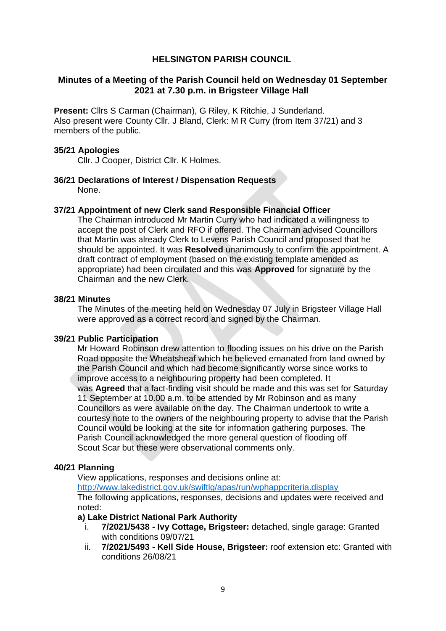# **HELSINGTON PARISH COUNCIL**

## **Minutes of a Meeting of the Parish Council held on Wednesday 01 September 2021 at 7.30 p.m. in Brigsteer Village Hall**

**Present:** Cllrs S Carman (Chairman), G Riley, K Ritchie, J Sunderland. Also present were County Cllr. J Bland, Clerk: M R Curry (from Item 37/21) and 3 members of the public.

### **35/21 Apologies**

Cllr. J Cooper, District Cllr. K Holmes.

### **36/21 Declarations of Interest / Dispensation Requests** None.

### **37/21 Appointment of new Clerk sand Responsible Financial Officer**

The Chairman introduced Mr Martin Curry who had indicated a willingness to accept the post of Clerk and RFO if offered. The Chairman advised Councillors that Martin was already Clerk to Levens Parish Council and proposed that he should be appointed. It was **Resolved** unanimously to confirm the appointment. A draft contract of employment (based on the existing template amended as appropriate) had been circulated and this was **Approved** for signature by the Chairman and the new Clerk.

### **38/21 Minutes**

The Minutes of the meeting held on Wednesday 07 July in Brigsteer Village Hall were approved as a correct record and signed by the Chairman.

### **39/21 Public Participation**

Mr Howard Robinson drew attention to flooding issues on his drive on the Parish Road opposite the Wheatsheaf which he believed emanated from land owned by the Parish Council and which had become significantly worse since works to improve access to a neighbouring property had been completed. It was **Agreed** that a fact-finding visit should be made and this was set for Saturday 11 September at 10.00 a.m. to be attended by Mr Robinson and as many Councillors as were available on the day. The Chairman undertook to write a courtesy note to the owners of the neighbouring property to advise that the Parish Council would be looking at the site for information gathering purposes. The Parish Council acknowledged the more general question of flooding off Scout Scar but these were observational comments only.

# **40/21 Planning**

View applications, responses and decisions online at:

<http://www.lakedistrict.gov.uk/swiftlg/apas/run/wphappcriteria.display>

The following applications, responses, decisions and updates were received and noted:

### **a) Lake District National Park Authority**

- i. **7/2021/5438 - Ivy Cottage, Brigsteer:** detached, single garage: Granted with conditions 09/07/21
- ii. **7/2021/5493 - Kell Side House, Brigsteer:** roof extension etc: Granted with conditions 26/08/21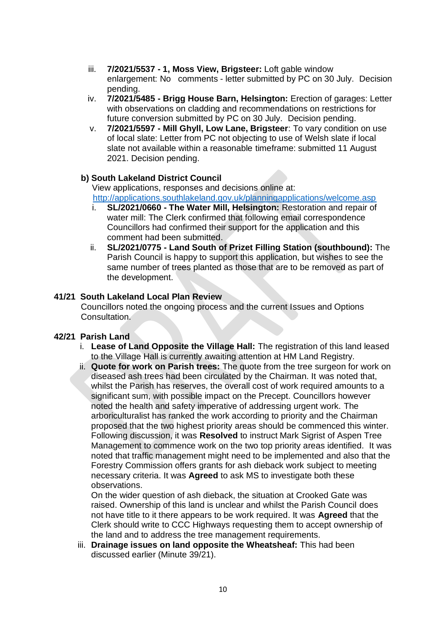- iii. **7/2021/5537 - 1, Moss View, Brigsteer:** Loft gable window enlargement: No comments - letter submitted by PC on 30 July. Decision pending.
- iv. **7/2021/5485 - Brigg House Barn, Helsington:** Erection of garages: Letter with observations on cladding and recommendations on restrictions for future conversion submitted by PC on 30 July. Decision pending.
- v. **7/2021/5597 - Mill Ghyll, Low Lane, Brigsteer**: To vary condition on use of local slate: Letter from PC not objecting to use of Welsh slate if local slate not available within a reasonable timeframe: submitted 11 August 2021. Decision pending.

### **b) South Lakeland District Council**

 View applications, responses and decisions online at: <http://applications.southlakeland.gov.uk/planningapplications/welcome.asp>

- i. **SL/2021/0660 - The Water Mill, Helsington:** Restoration and repair of water mill: The Clerk confirmed that following email correspondence Councillors had confirmed their support for the application and this comment had been submitted.
- ii. **SL/2021/0775 - Land South of Prizet Filling Station (southbound):** The Parish Council is happy to support this application, but wishes to see the same number of trees planted as those that are to be removed as part of the development.

### **41/21 South Lakeland Local Plan Review**

Councillors noted the ongoing process and the current Issues and Options Consultation.

# **42/21 Parish Land**

- i. **Lease of Land Opposite the Village Hall:** The registration of this land leased to the Village Hall is currently awaiting attention at HM Land Registry.
- ii. **Quote for work on Parish trees:** The quote from the tree surgeon for work on diseased ash trees had been circulated by the Chairman. It was noted that, whilst the Parish has reserves, the overall cost of work required amounts to a significant sum, with possible impact on the Precept. Councillors however noted the health and safety imperative of addressing urgent work. The arboriculturalist has ranked the work according to priority and the Chairman proposed that the two highest priority areas should be commenced this winter. Following discussion, it was **Resolved** to instruct Mark Sigrist of Aspen Tree Management to commence work on the two top priority areas identified. It was noted that traffic management might need to be implemented and also that the Forestry Commission offers grants for ash dieback work subject to meeting necessary criteria. It was **Agreed** to ask MS to investigate both these observations.

On the wider question of ash dieback, the situation at Crooked Gate was raised. Ownership of this land is unclear and whilst the Parish Council does not have title to it there appears to be work required. It was **Agreed** that the Clerk should write to CCC Highways requesting them to accept ownership of the land and to address the tree management requirements.

iii. **Drainage issues on land opposite the Wheatsheaf:** This had been discussed earlier (Minute 39/21).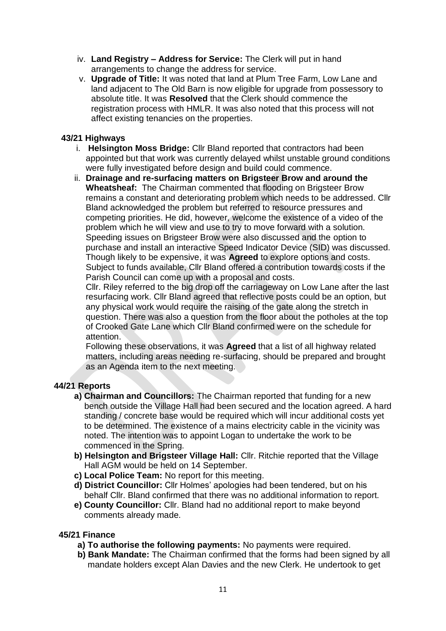- iv. **Land Registry – Address for Service:** The Clerk will put in hand arrangements to change the address for service.
- v. **Upgrade of Title:** It was noted that land at Plum Tree Farm, Low Lane and land adjacent to The Old Barn is now eligible for upgrade from possessory to absolute title. It was **Resolved** that the Clerk should commence the registration process with HMLR. It was also noted that this process will not affect existing tenancies on the properties.

## **43/21 Highways**

- i. **Helsington Moss Bridge:** Cllr Bland reported that contractors had been appointed but that work was currently delayed whilst unstable ground conditions were fully investigated before design and build could commence.
- ii. **Drainage and re-surfacing matters on Brigsteer Brow and around the Wheatsheaf:** The Chairman commented that flooding on Brigsteer Brow remains a constant and deteriorating problem which needs to be addressed. Cllr Bland acknowledged the problem but referred to resource pressures and competing priorities. He did, however, welcome the existence of a video of the problem which he will view and use to try to move forward with a solution. Speeding issues on Brigsteer Brow were also discussed and the option to purchase and install an interactive Speed Indicator Device (SID) was discussed. Though likely to be expensive, it was **Agreed** to explore options and costs. Subject to funds available, Cllr Bland offered a contribution towards costs if the Parish Council can come up with a proposal and costs.

Cllr. Riley referred to the big drop off the carriageway on Low Lane after the last resurfacing work. Cllr Bland agreed that reflective posts could be an option, but any physical work would require the raising of the gate along the stretch in question. There was also a question from the floor about the potholes at the top of Crooked Gate Lane which Cllr Bland confirmed were on the schedule for attention.

Following these observations, it was **Agreed** that a list of all highway related matters, including areas needing re-surfacing, should be prepared and brought as an Agenda item to the next meeting.

### **44/21 Reports**

- **a) Chairman and Councillors:** The Chairman reported that funding for a new bench outside the Village Hall had been secured and the location agreed. A hard standing / concrete base would be required which will incur additional costs yet to be determined. The existence of a mains electricity cable in the vicinity was noted. The intention was to appoint Logan to undertake the work to be commenced in the Spring.
- **b) Helsington and Brigsteer Village Hall:** Cllr. Ritchie reported that the Village Hall AGM would be held on 14 September.
- **c) Local Police Team:** No report for this meeting.
- **d) District Councillor:** Cllr Holmes' apologies had been tendered, but on his behalf Cllr. Bland confirmed that there was no additional information to report.
- **e) County Councillor:** Cllr. Bland had no additional report to make beyond comments already made.

### **45/21 Finance**

- **a) To authorise the following payments:** No payments were required.
- **b) Bank Mandate:** The Chairman confirmed that the forms had been signed by all mandate holders except Alan Davies and the new Clerk. He undertook to get